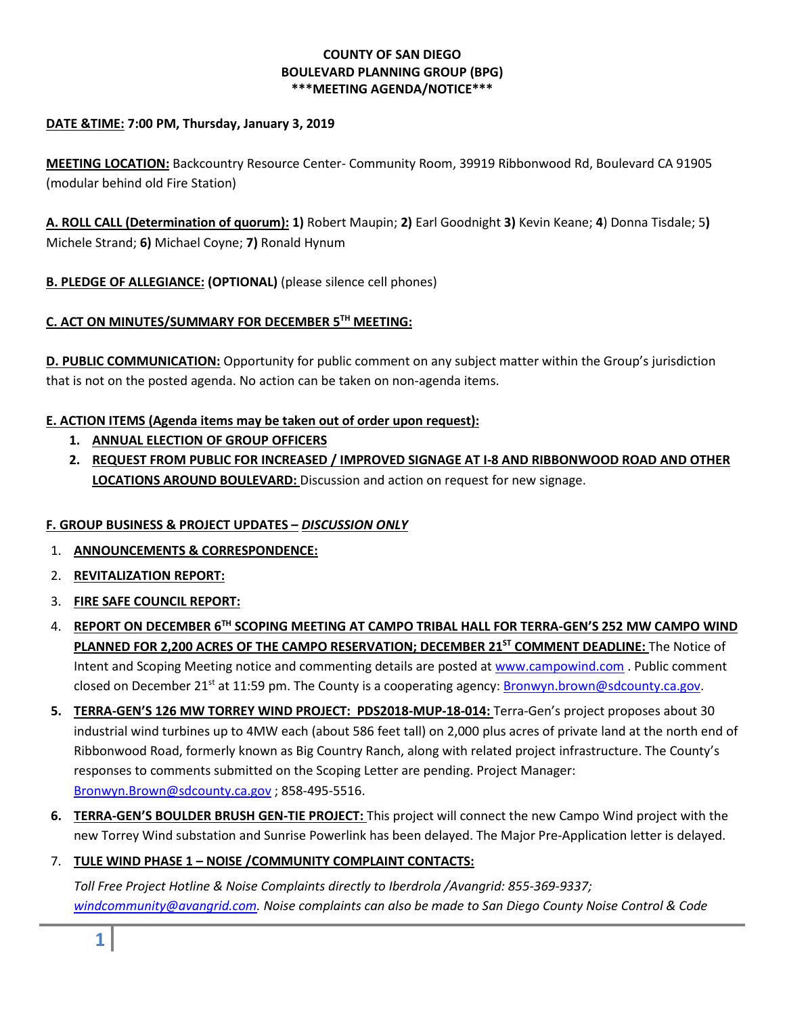### **COUNTY OF SAN DIEGO BOULEVARD PLANNING GROUP (BPG) \*\*\*MEETING AGENDA/NOTICE\*\*\***

### **DATE &TIME: 7:00 PM, Thursday, January 3, 2019**

**MEETING LOCATION:** Backcountry Resource Center- Community Room, 39919 Ribbonwood Rd, Boulevard CA 91905 (modular behind old Fire Station)

**A. ROLL CALL (Determination of quorum): 1)** Robert Maupin; **2)** Earl Goodnight **3)** Kevin Keane; **4**) Donna Tisdale; 5**)**  Michele Strand; **6)** Michael Coyne; **7)** Ronald Hynum

**B. PLEDGE OF ALLEGIANCE: (OPTIONAL)** (please silence cell phones)

# **C. ACT ON MINUTES/SUMMARY FOR DECEMBER 5TH MEETING:**

**D. PUBLIC COMMUNICATION:** Opportunity for public comment on any subject matter within the Group's jurisdiction that is not on the posted agenda. No action can be taken on non-agenda items.

# **E. ACTION ITEMS (Agenda items may be taken out of order upon request):**

- **1. ANNUAL ELECTION OF GROUP OFFICERS**
- **2. REQUEST FROM PUBLIC FOR INCREASED / IMPROVED SIGNAGE AT I-8 AND RIBBONWOOD ROAD AND OTHER LOCATIONS AROUND BOULEVARD:** Discussion and action on request for new signage.

# **F. GROUP BUSINESS & PROJECT UPDATES –** *DISCUSSION ONLY*

- 1. **ANNOUNCEMENTS & CORRESPONDENCE:**
- 2. **REVITALIZATION REPORT:**
- 3. **FIRE SAFE COUNCIL REPORT:**
- 4. **REPORT ON DECEMBER 6TH SCOPING MEETING AT CAMPO TRIBAL HALL FOR TERRA-GEN'S 252 MW CAMPO WIND**  PLANNED FOR 2,200 ACRES OF THE CAMPO RESERVATION; DECEMBER 21<sup>ST</sup> COMMENT DEADLINE: The Notice of Intent and Scoping Meeting notice and commenting details are posted at [www.campowind.com](http://www.campowind.com/) . Public comment closed on December 21<sup>st</sup> at 11:59 pm. The County is a cooperating agency: **Bronwyn.brown@sdcounty.ca.gov.**
- **5. TERRA-GEN'S 126 MW TORREY WIND PROJECT: PDS2018-MUP-18-014:** Terra-Gen's project proposes about 30 industrial wind turbines up to 4MW each (about 586 feet tall) on 2,000 plus acres of private land at the north end of Ribbonwood Road, formerly known as Big Country Ranch, along with related project infrastructure. The County's responses to comments submitted on the Scoping Letter are pending. Project Manager: [Bronwyn.Brown@sdcounty.ca.gov](mailto:Bronwyn.Brown@sdcounty.ca.gov) ; 858-495-5516.
- **6. TERRA-GEN'S BOULDER BRUSH GEN-TIE PROJECT:** This project will connect the new Campo Wind project with the new Torrey Wind substation and Sunrise Powerlink has been delayed. The Major Pre-Application letter is delayed.

# 7. **TULE WIND PHASE 1 – NOISE /COMMUNITY COMPLAINT CONTACTS:**

*Toll Free Project Hotline & Noise Complaints directly to Iberdrola /Avangrid: 855-369-9337; [windcommunity@avangrid.com.](mailto:windcommunity@avangrid.com) Noise complaints can also be made to San Diego County Noise Control & Code*